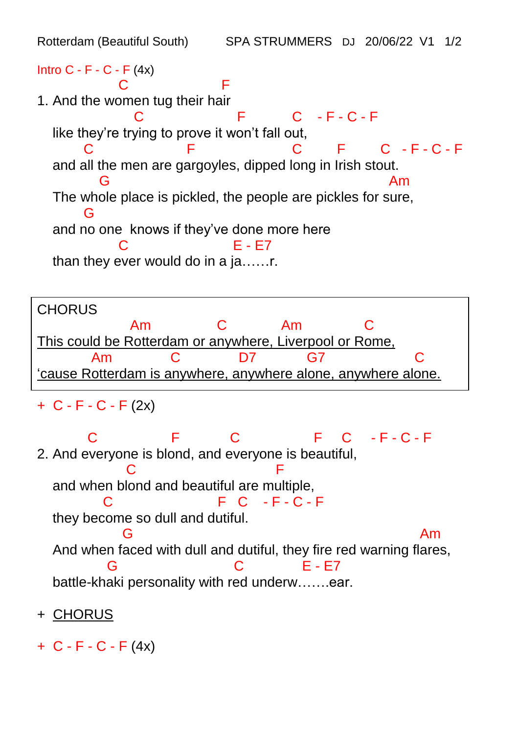Rotterdam (Beautiful South) SPA STRUMMERS DJ 20/06/22 V1 1/2 Intro  $C - F - C - F (4x)$ **C** F 1. And the women tug their hair C F C - F - C - F like they're trying to prove it won't fall out,  $C - F - C - F$  and all the men are gargoyles, dipped long in Irish stout. G Am The whole place is pickled, the people are pickles for sure, **G**  and no one knows if they've done more here C E - E7 than they ever would do in a ja……r.

**CHORUS**  Am C Am C This could be Rotterdam or anywhere, Liverpool or Rome, Am C D7 G7 C 'cause Rotterdam is anywhere, anywhere alone, anywhere alone.

$$
+ C - F - C - F (2x)
$$

C F C - F - C - F C - F - C - F - C - F - C - F - C - F - C - F - C - F - C - F - C - F - C - F - C - F - C - F 2. And everyone is blond, and everyone is beautiful, **C** F and when blond and beautiful are multiple,  $C = F - C - F$  they become so dull and dutiful. **G** American Service Service Service Service Service Service Service Service Service Service Service Service Service Service Service Service Service Service Service Service Service Service Service Service Service Service S And when faced with dull and dutiful, they fire red warning flares, G C E - E7 battle-khaki personality with red underw…...ear.

- + CHORUS
- $+ C F C F (4x)$